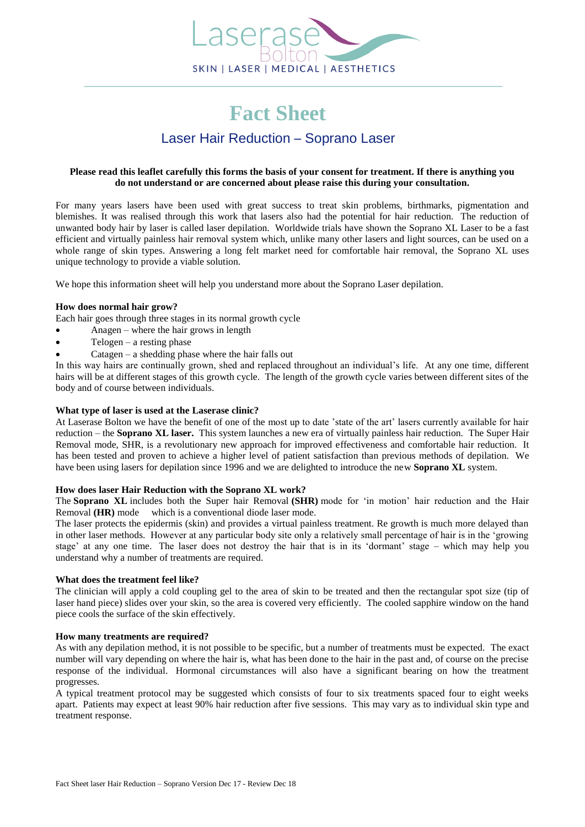

### **Please read this leaflet carefully this forms the basis of your consent for treatment. If there is anything you do not understand or are concerned about please raise this during your consultation.**

For many years lasers have been used with great success to treat skin problems, birthmarks, pigmentation and blemishes. It was realised through this work that lasers also had the potential for hair reduction. The reduction of unwanted body hair by laser is called laser depilation. Worldwide trials have shown the Soprano XL Laser to be a fast efficient and virtually painless hair removal system which, unlike many other lasers and light sources, can be used on a whole range of skin types. Answering a long felt market need for comfortable hair removal, the Soprano XL uses unique technology to provide a viable solution.

We hope this information sheet will help you understand more about the Soprano Laser depilation.

#### **How does normal hair grow?**

Each hair goes through three stages in its normal growth cycle

- Anagen where the hair grows in length
- Telogen a resting phase
- Catagen a shedding phase where the hair falls out

In this way hairs are continually grown, shed and replaced throughout an individual's life. At any one time, different hairs will be at different stages of this growth cycle. The length of the growth cycle varies between different sites of the body and of course between individuals.

#### **What type of laser is used at the Laserase clinic?**

At Laserase Bolton we have the benefit of one of the most up to date 'state of the art' lasers currently available for hair reduction – the **Soprano XL laser.** This system launches a new era of virtually painless hair reduction. The Super Hair Removal mode, SHR, is a revolutionary new approach for improved effectiveness and comfortable hair reduction. It has been tested and proven to achieve a higher level of patient satisfaction than previous methods of depilation. We have been using lasers for depilation since 1996 and we are delighted to introduce the new **Soprano XL** system.

## **How does laser Hair Reduction with the Soprano XL work?**

The **Soprano XL** includes both the Super hair Removal **(SHR)** mode for 'in motion' hair reduction and the Hair Removal **(HR)** mode which is a conventional diode laser mode.

The laser protects the epidermis (skin) and provides a virtual painless treatment. Re growth is much more delayed than in other laser methods. However at any particular body site only a relatively small percentage of hair is in the 'growing stage' at any one time. The laser does not destroy the hair that is in its 'dormant' stage – which may help you understand why a number of treatments are required.

#### **What does the treatment feel like?**

The clinician will apply a cold coupling gel to the area of skin to be treated and then the rectangular spot size (tip of laser hand piece) slides over your skin, so the area is covered very efficiently. The cooled sapphire window on the hand piece cools the surface of the skin effectively.

#### **How many treatments are required?**

As with any depilation method, it is not possible to be specific, but a number of treatments must be expected. The exact number will vary depending on where the hair is, what has been done to the hair in the past and, of course on the precise response of the individual. Hormonal circumstances will also have a significant bearing on how the treatment progresses.

A typical treatment protocol may be suggested which consists of four to six treatments spaced four to eight weeks apart. Patients may expect at least 90% hair reduction after five sessions. This may vary as to individual skin type and treatment response.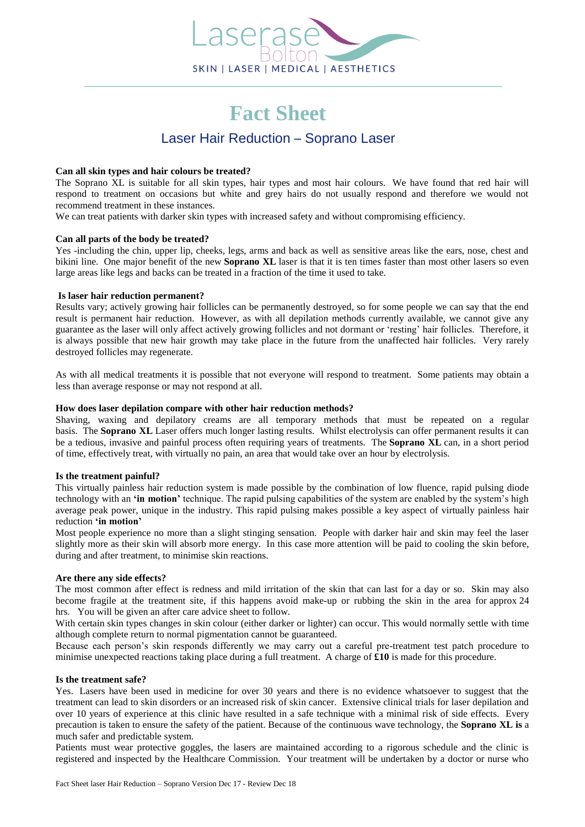

#### **Can all skin types and hair colours be treated?**

The Soprano XL is suitable for all skin types, hair types and most hair colours. We have found that red hair will respond to treatment on occasions but white and grey hairs do not usually respond and therefore we would not recommend treatment in these instances.

We can treat patients with darker skin types with increased safety and without compromising efficiency.

#### **Can all parts of the body be treated?**

Yes -including the chin, upper lip, cheeks, legs, arms and back as well as sensitive areas like the ears, nose, chest and bikini line. One major benefit of the new **Soprano XL** laser is that it is ten times faster than most other lasers so even large areas like legs and backs can be treated in a fraction of the time it used to take.

#### **Is laser hair reduction permanent?**

Results vary; actively growing hair follicles can be permanently destroyed, so for some people we can say that the end result is permanent hair reduction. However, as with all depilation methods currently available, we cannot give any guarantee as the laser will only affect actively growing follicles and not dormant or 'resting' hair follicles. Therefore, it is always possible that new hair growth may take place in the future from the unaffected hair follicles. Very rarely destroyed follicles may regenerate.

As with all medical treatments it is possible that not everyone will respond to treatment. Some patients may obtain a less than average response or may not respond at all.

#### **How does laser depilation compare with other hair reduction methods?**

Shaving, waxing and depilatory creams are all temporary methods that must be repeated on a regular basis. The **Soprano XL** Laser offers much longer lasting results. Whilst electrolysis can offer permanent results it can be a tedious, invasive and painful process often requiring years of treatments. The **Soprano XL** can, in a short period of time, effectively treat, with virtually no pain, an area that would take over an hour by electrolysis.

#### **Is the treatment painful?**

This virtually painless hair reduction system is made possible by the combination of low fluence, rapid pulsing diode technology with an **'in motion'** technique. The rapid pulsing capabilities of the system are enabled by the system's high average peak power, unique in the industry. This rapid pulsing makes possible a key aspect of virtually painless hair reduction **'in motion'**

Most people experience no more than a slight stinging sensation. People with darker hair and skin may feel the laser slightly more as their skin will absorb more energy. In this case more attention will be paid to cooling the skin before, during and after treatment, to minimise skin reactions.

#### **Are there any side effects?**

The most common after effect is redness and mild irritation of the skin that can last for a day or so. Skin may also become fragile at the treatment site, if this happens avoid make-up or rubbing the skin in the area for approx 24 hrs. You will be given an after care advice sheet to follow.

With certain skin types changes in skin colour (either darker or lighter) can occur. This would normally settle with time although complete return to normal pigmentation cannot be guaranteed.

Because each person's skin responds differently we may carry out a careful pre-treatment test patch procedure to minimise unexpected reactions taking place during a full treatment. A charge of **£10** is made for this procedure.

#### **Is the treatment safe?**

Yes. Lasers have been used in medicine for over 30 years and there is no evidence whatsoever to suggest that the treatment can lead to skin disorders or an increased risk of skin cancer. Extensive clinical trials for laser depilation and over 10 years of experience at this clinic have resulted in a safe technique with a minimal risk of side effects. Every precaution is taken to ensure the safety of the patient. Because of the continuous wave technology, the **Soprano XL is** a much safer and predictable system.

Patients must wear protective goggles, the lasers are maintained according to a rigorous schedule and the clinic is registered and inspected by the Healthcare Commission. Your treatment will be undertaken by a doctor or nurse who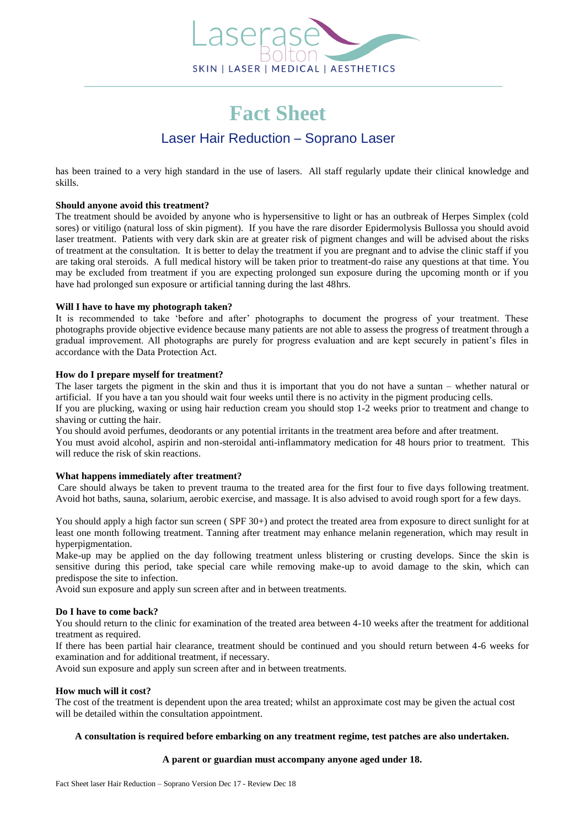

has been trained to a very high standard in the use of lasers. All staff regularly update their clinical knowledge and skills.

## **Should anyone avoid this treatment?**

The treatment should be avoided by anyone who is hypersensitive to light or has an outbreak of Herpes Simplex (cold sores) or vitiligo (natural loss of skin pigment). If you have the rare disorder Epidermolysis Bullossa you should avoid laser treatment. Patients with very dark skin are at greater risk of pigment changes and will be advised about the risks of treatment at the consultation. It is better to delay the treatment if you are pregnant and to advise the clinic staff if you are taking oral steroids. A full medical history will be taken prior to treatment-do raise any questions at that time. You may be excluded from treatment if you are expecting prolonged sun exposure during the upcoming month or if you have had prolonged sun exposure or artificial tanning during the last 48hrs.

#### **Will I have to have my photograph taken?**

It is recommended to take 'before and after' photographs to document the progress of your treatment. These photographs provide objective evidence because many patients are not able to assess the progress of treatment through a gradual improvement. All photographs are purely for progress evaluation and are kept securely in patient's files in accordance with the Data Protection Act.

#### **How do I prepare myself for treatment?**

The laser targets the pigment in the skin and thus it is important that you do not have a suntan – whether natural or artificial. If you have a tan you should wait four weeks until there is no activity in the pigment producing cells. If you are plucking, waxing or using hair reduction cream you should stop 1-2 weeks prior to treatment and change to

shaving or cutting the hair. You should avoid perfumes, deodorants or any potential irritants in the treatment area before and after treatment. You must avoid alcohol, aspirin and non-steroidal anti-inflammatory medication for 48 hours prior to treatment. This

will reduce the risk of skin reactions.

## **What happens immediately after treatment?**

Care should always be taken to prevent trauma to the treated area for the first four to five days following treatment. Avoid hot baths, sauna, solarium, aerobic exercise, and massage. It is also advised to avoid rough sport for a few days.

You should apply a high factor sun screen (SPF 30+) and protect the treated area from exposure to direct sunlight for at least one month following treatment. Tanning after treatment may enhance melanin regeneration, which may result in hyperpigmentation.

Make-up may be applied on the day following treatment unless blistering or crusting develops. Since the skin is sensitive during this period, take special care while removing make-up to avoid damage to the skin, which can predispose the site to infection.

Avoid sun exposure and apply sun screen after and in between treatments.

#### **Do I have to come back?**

You should return to the clinic for examination of the treated area between 4-10 weeks after the treatment for additional treatment as required.

If there has been partial hair clearance, treatment should be continued and you should return between 4-6 weeks for examination and for additional treatment, if necessary.

Avoid sun exposure and apply sun screen after and in between treatments.

#### **How much will it cost?**

The cost of the treatment is dependent upon the area treated; whilst an approximate cost may be given the actual cost will be detailed within the consultation appointment.

## **A consultation is required before embarking on any treatment regime, test patches are also undertaken.**

#### **A parent or guardian must accompany anyone aged under 18.**